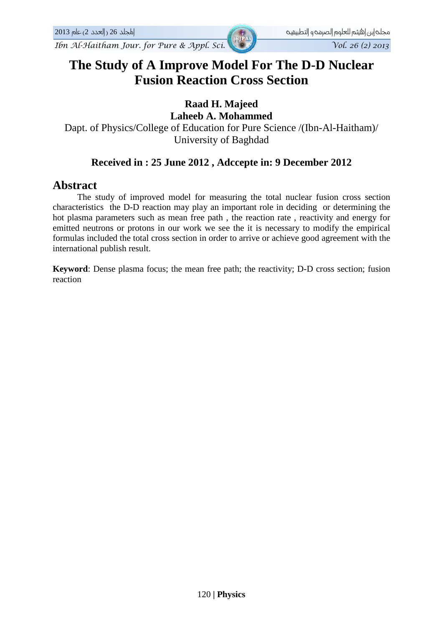*Ibn Al-Haitham Jour. for Pure & Appl. Sci. Vol. 26 (2) 2013* 

# **The Study of A Improve Model For The D-D Nuclear Fusion Reaction Cross Section**

# **Raad H. Majeed**

**Laheeb A. Mohammed**  Dapt. of Physics/College of Education for Pure Science /(Ibn-Al-Haitham)/ University of Baghdad

## **Received in : 25 June 2012 , Adccepte in: 9 December 2012**

### **Abstract**

 The study of improved model for measuring the total nuclear fusion cross section characteristics the D-D reaction may play an important role in deciding or determining the hot plasma parameters such as mean free path , the reaction rate , reactivity and energy for emitted neutrons or protons in our work we see the it is necessary to modify the empirical formulas included the total cross section in order to arrive or achieve good agreement with the international publish result.

**Keyword**: Dense plasma focus; the mean free path; the reactivity; D-D cross section; fusion reaction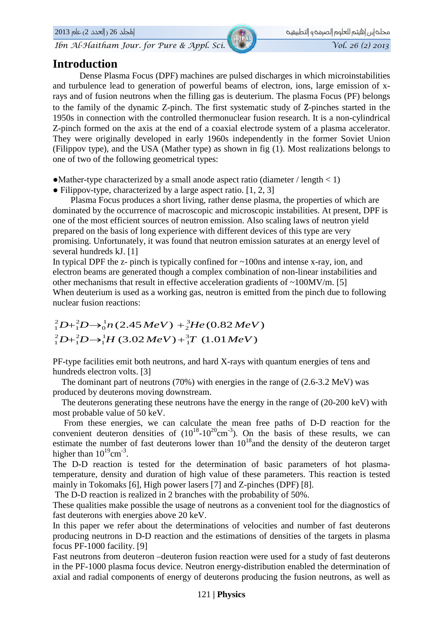اطجلد 26 (العدد 2) عام 2013

Ibn Al-Haitham Jour. for Pure & Appl. Sci.

#### مجلخ إبن |هيثم للعلوم |لصرمخ و |لتطبيقيخ  $\overline{Vol. 26 (2) 2013}$

### **Introduction**

Dense Plasma Focus (DPF) machines are pulsed discharges in which microinstabilities and turbulence lead to generation of powerful beams of electron, ions, large emission of xrays and of fusion neutrons when the filling gas is deuterium. The plasma Focus (PF) belongs to the family of the dynamic Z-pinch. The first systematic study of Z-pinches started in the 1950s in connection with the controlled thermonuclear fusion research. It is a non-cylindrical Z-pinch formed on the axis at the end of a coaxial electrode system of a plasma accelerator. They were originally developed in early 1960s independently in the former Soviet Union (Filippov type), and the USA (Mather type) as shown in fig (1). Most realizations belongs to one of two of the following geometrical types:

- Mather-type characterized by a small anode aspect ratio (diameter / length  $\langle 1 \rangle$ )
- Filippov-type, characterized by a large aspect ratio.  $[1, 2, 3]$

Plasma Focus produces a short living, rather dense plasma, the properties of which are dominated by the occurrence of macroscopic and microscopic instabilities. At present, DPF is one of the most efficient sources of neutron emission. Also scaling laws of neutron yield prepared on the basis of long experience with different devices of this type are very promising. Unfortunately, it was found that neutron emission saturates at an energy level of several hundreds kJ. [1]

In typical DPF the z- pinch is typically confined for  $\sim$ 100ns and intense x-ray, ion, and electron beams are generated though a complex combination of non-linear instabilities and other mechanisms that result in effective acceleration gradients of  $\sim$ 100MV/m. [5] When deuterium is used as a working gas, neutron is emitted from the pinch due to following nuclear fusion reactions:

# $_{1}^{2}D+_{1}^{2}D\rightarrow_{0}^{1}n(2.45\,MeV)+_{2}^{3}He(0.82\,MeV)$  $_{1}^{2}D+_{1}^{2}D\rightarrow_{1}^{1}H(3.02\,MeV)+_{1}^{3}T(1.01\,MeV)$

PF-type facilities emit both neutrons, and hard X-rays with quantum energies of tens and hundreds electron volts. [3]

The dominant part of neutrons  $(70%)$  with energies in the range of  $(2.6-3.2 \text{ MeV})$  was produced by deuterons moving downstream.

The deuterons generating these neutrons have the energy in the range of (20-200 keV) with most probable value of 50 keV.

From these energies, we can calculate the mean free paths of D-D reaction for the convenient deuteron densities of  $(10^{18} - 10^{20} \text{cm}^{-3})$ . On the basis of these results, we can estimate the number of fast deuterons lower than  $10^{18}$  and the density of the deuteron target higher than  $10^{19}$ cm<sup>-3</sup>.

The D-D reaction is tested for the determination of basic parameters of hot plasmatemperature, density and duration of high value of these parameters. This reaction is tested mainly in Tokomaks [6], High power lasers [7] and Z-pinches (DPF) [8].

The D-D reaction is realized in 2 branches with the probability of 50%.

These qualities make possible the usage of neutrons as a convenient tool for the diagnostics of fast deuterons with energies above 20 keV.

In this paper we refer about the determinations of velocities and number of fast deuterons producing neutrons in D-D reaction and the estimations of densities of the targets in plasma focus PF-1000 facility. [9]

Fast neutrons from deuteron -deuteron fusion reaction were used for a study of fast deuterons in the PF-1000 plasma focus device. Neutron energy-distribution enabled the determination of axial and radial components of energy of deuterons producing the fusion neutrons, as well as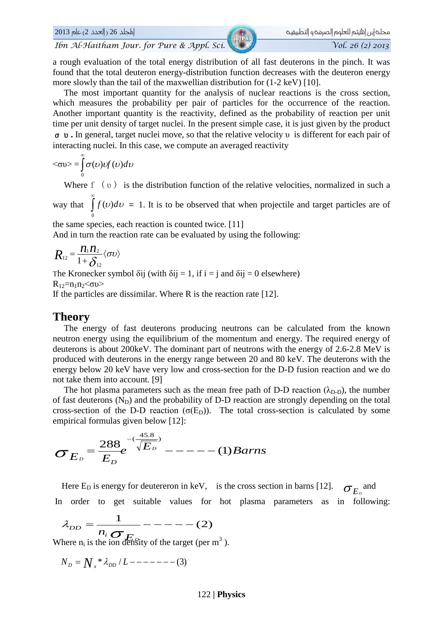Ibn Al-Haitham Jour, for Pure & Appl. Sci.

a rough evaluation of the total energy distribution of all fast deuterons in the pinch. It was found that the total deuteron energy-distribution function decreases with the deuteron energy more slowly than the tail of the maxwellian distribution for  $(1-2 \text{ keV})$  [10].

The most important quantity for the analysis of nuclear reactions is the cross section, which measures the probability per pair of particles for the occurrence of the reaction. Another important quantity is the reactivity, defined as the probability of reaction per unit time per unit density of target nuclei. In the present simple case, it is just given by the product  $\sigma$  v. In general, target nuclei move, so that the relative velocity v is different for each pair of interacting nuclei. In this case, we compute an averaged reactivity

$$
\langle \sigma v \rangle = \int_{0}^{\infty} \sigma(v) v f(v) dv
$$

Where  $f(v)$  is the distribution function of the relative velocities, normalized in such a

way that  $\int_{a}^{b} f(v)dv = 1$ . It is to be observed that when projectile and target particles are of

the same species, each reaction is counted twice. [11]

And in turn the reaction rate can be evaluated by using the following:

$$
R_{12} = \frac{n_1 n_2}{1 + \delta_{12}} \langle \sigma v \rangle
$$

The Kronecker symbol  $\delta$ ij (with  $\delta$ ij = 1, if i = j and  $\delta$ ij = 0 elsewhere)  $R_{12}=n_1n_2\leq \sigma v$ 

If the particles are dissimilar. Where  $R$  is the reaction rate [12].

#### **Theory**

The energy of fast deuterons producing neutrons can be calculated from the known neutron energy using the equilibrium of the momentum and energy. The required energy of deuterons is about 200 keV. The dominant part of neutrons with the energy of 2.6-2.8 MeV is produced with deuterons in the energy range between 20 and 80 keV. The deuterons with the energy below 20 keV have very low and cross-section for the D-D fusion reaction and we do not take them into account. [9]

The hot plasma parameters such as the mean free path of D-D reaction  $(\lambda_{D-D})$ , the number of fast deuterons  $(N_D)$  and the probability of D-D reaction are strongly depending on the total cross-section of the D-D reaction ( $\sigma(E_D)$ ). The total cross-section is calculated by some empirical formulas given below [12]:

$$
\sigma_{E_D} = \frac{288}{E_D} e^{-\left(\frac{45.8}{\sqrt{E_D}}\right)} \text{---}(-1) \text{Barns}
$$

Here  $E_D$  is energy for deutereron in keV, is the cross section in barns [12].  $\sigma_{E_p}$  and In order to get suitable values for hot plasma parameters as in following:

$$
\lambda_{DD} = \frac{1}{n_i \sigma_{F_n}} - \cdots - \cdots (2)
$$

Where  $n_i$  is the ion density of the target (per m<sup>3</sup>).

$$
N_{\scriptscriptstyle D} = {N_{\scriptscriptstyle x}}^* \lambda_{\scriptscriptstyle DD} / L-----(3)
$$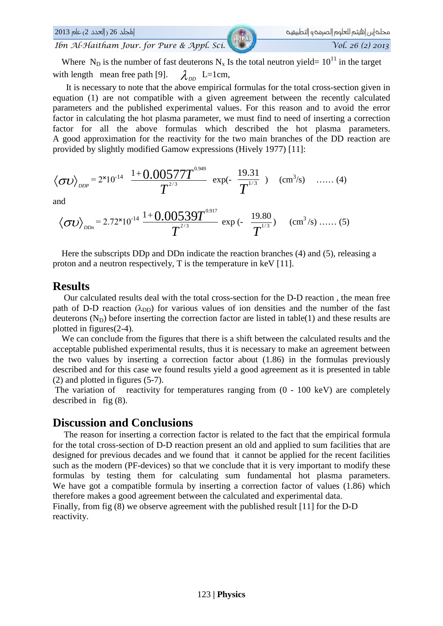

Where N<sub>D</sub> is the number of fast deuterons N<sub>x</sub> Is the total neutron yield=  $10^{11}$  in the target with length mean free path [9].  $\lambda_{\scriptscriptstyle DD}$  L=1cm,

It is necessary to note that the above empirical formulas for the total cross-section given in equation (1) are not compatible with a given agreement between the recently calculated parameters and the published experimental values. For this reason and to avoid the error factor in calculating the hot plasma parameter, we must find to need of inserting a correction factor for all the above formulas which described the hot plasma parameters. A good approximation for the reactivity for the two main branches of the DD reaction are provided by slightly modified Gamow expressions (Hively 1977) [11]:

$$
\langle \sigma v \rangle_{_{DDP}} = 2^{x} 10^{-14} \frac{1+0.00577T^{^{0.949}}}{T^{^{2/3}}} \exp(-\frac{19.31}{T^{^{1/3}}}) \quad (\text{cm}^{3}/\text{s}) \quad \dots \dots (4)
$$

and

$$
\langle \sigma v \rangle_{DDn} = 2.72 \times 10^{-14} \frac{1+0.00539T^{0.917}}{T^{2/3}} \exp(-\frac{19.80}{T^{1/3}})
$$
 (cm<sup>3</sup>/s) .......(5)

Here the subscripts DDp and DDn indicate the reaction branches (4) and (5), releasing a proton and a neutron respectively, T is the temperature in keV [11].

#### **Results**

Our calculated results deal with the total cross-section for the D-D reaction, the mean free path of D-D reaction ( $\lambda_{DD}$ ) for various values of ion densities and the number of the fast deuterons  $(N_D)$  before inserting the correction factor are listed in table(1) and these results are plotted in figures $(2-4)$ .

We can conclude from the figures that there is a shift between the calculated results and the acceptable published experimental results, thus it is necessary to make an agreement between the two values by inserting a correction factor about  $(1.86)$  in the formulas previously described and for this case we found results yield a good agreement as it is presented in table  $(2)$  and plotted in figures  $(5-7)$ .

The variation of reactivity for temperatures ranging from  $(0 - 100 \text{ keV})$  are completely described in fig  $(8)$ .

### **Discussion and Conclusions**

The reason for inserting a correction factor is related to the fact that the empirical formula for the total cross-section of D-D reaction present an old and applied to sum facilities that are designed for previous decades and we found that it cannot be applied for the recent facilities such as the modern (PF-devices) so that we conclude that it is very important to modify these formulas by testing them for calculating sum fundamental hot plasma parameters. We have got a compatible formula by inserting a correction factor of values (1.86) which therefore makes a good agreement between the calculated and experimental data. Finally, from fig  $(8)$  we observe agreement with the published result [11] for the D-D reactivity.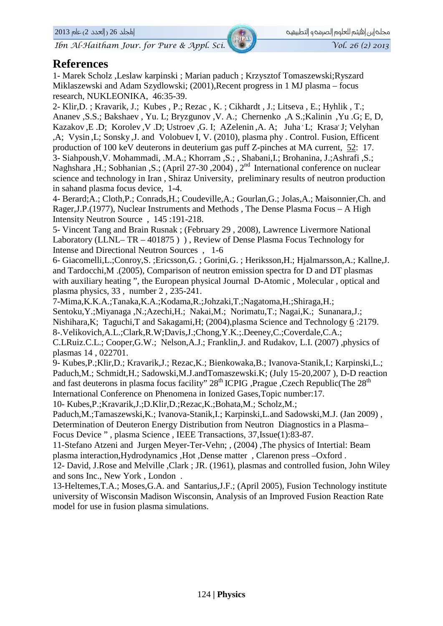Ibn Al-Haitham Jour. for Pure & Appl. Sci.

#### **References**

1- Marek Scholz , Leslaw karpinski ; Marian paduch ; Krzysztof Tomaszewski; Ryszard Miklaszewski and Adam Szydlowski: (2001). Recent progress in 1 MJ plasma – focus research, NUKLEONIKA, 46:35-39.

2- Klir, D.; Kravarik, J.; Kubes, P.; Rezac, K.; Cikhardt, J.; Litseva, E.; Hyhlik, T.; Ananev , S.S.; Bakshaev , Yu. L; Bryzgunov , V. A.; Chernenko , A S.; Kalinin , Yu .G; E, D, Kazakov, E.D; Korolev, V.D; Ustroev, G. I; AZelenin, A. A; Juha L; Krasa J; Velyhan ,A; Vysin, L; Sonsky, J. and Volobuev I, V. (2010), plasma phy. Control. Fusion, Efficent production of 100 keV deuterons in deuterium gas puff Z-pinches at MA current, 52: 17. 3- Siahpoush, V. Mohammadi, .M.A.; Khorram , S.; , Shabani, I.; Brohanina, J.; Ashrafi , S.; Naghshara ,H.; Sobhanian ,S.; (April 27-30 , 2004), 2<sup>nd</sup> International conference on nuclear science and technology in Iran, Shiraz University, preliminary results of neutron production in sahand plasma focus device, 1-4.

4- Berard; A.; Cloth, P.; Conrads, H.; Coudeville, A.; Gourlan, G.; Jolas, A.; Maisonnier, Ch. and Rager, J.P. (1977), Nuclear Instruments and Methods, The Dense Plasma Focus – A High Intensity Neutron Source, 145:191-218.

5- Vincent Tang and Brain Rusnak; (February 29, 2008), Lawrence Livermore National Laboratory (LLNL–TR – 401875)), Review of Dense Plasma Focus Technology for Intense and Directional Neutron Sources, 1-6

6- Giacomelli, L.; Conroy, S.; Ericsson, G.; Gorini, G.; Heriksson, H.; Hjalmarsson, A.; Kallne, J. and Tardocchi, M. (2005). Comparison of neutron emission spectra for D and DT plasmas with auxiliary heating", the European physical Journal D-Atomic, Molecular, optical and plasma physics, 33, number 2, 235-241.

7-Mima, K.K.A.; Tanaka, K.A.; Kodama, R.; Johzaki, T.; Nagatoma, H.; Shiraga, H.;

Sentoku, Y.; Miyanaga, N.; Azechi, H.; Nakai, M.; Norimatu, T.; Nagai, K.; Sunanara, J.; Nishihara, K; Taguchi, T and Sakagami, H; (2004), plasma Science and Technology 6:2179. 8-.Velikovich, A.L.; Clark, R.W; Davis, J.; Chong, Y.K.; Deeney, C.; Coverdale, C.A.; C.LRuiz.C.L.; Cooper,G.W.; Nelson,A.J.; Franklin,J. and Rudakov, L.I. (2007), physics of

plasmas 14, 022701.

9- Kubes, P.; Klir, D.; Kravarik, J.; Rezac, K.; Bienkowaka, B.; Ivanova-Stanik, I.; Karpinski, L.; Paduch, M.; Schmidt, H.; Sadowski, M.J.and Tomaszewski, K; (July 15-20, 2007), D-D reaction and fast deuterons in plasma focus facility" 28<sup>th</sup> ICPIG , Prague , Czech Republic (The 28<sup>th</sup>) International Conference on Phenomena in Ionized Gases, Topic number: 17.

10- Kubes, P.; Kravarik, J.; D. Klir, D.; Rezac, K.; Bohata, M.; Scholz, M.;

Paduch, M.; Tamaszewski, K.; Ivanova-Stanik, I.; Karpinski, L.and Sadowski, M.J. (Jan 2009), Determination of Deuteron Energy Distribution from Neutron Diagnostics in a Plasma– Focus Device", plasma Science, IEEE Transactions, 37, Issue(1):83-87.

11-Stefano Atzeni and Jurgen Meyer-Ter-Vehn; , (2004), The physics of Intertial: Beam plasma interaction, Hydrodynamics, Hot, Dense matter, Clarenon press -Oxford.

12- David, J.Rose and Melville, Clark; JR. (1961), plasmas and controlled fusion, John Wiley and sons Inc., New York, London.

13-Heltemes, T.A.: Moses, G.A. and Santarius, J.F.: (April 2005). Fusion Technology institute university of Wisconsin Madison Wisconsin, Analysis of an Improved Fusion Reaction Rate model for use in fusion plasma simulations.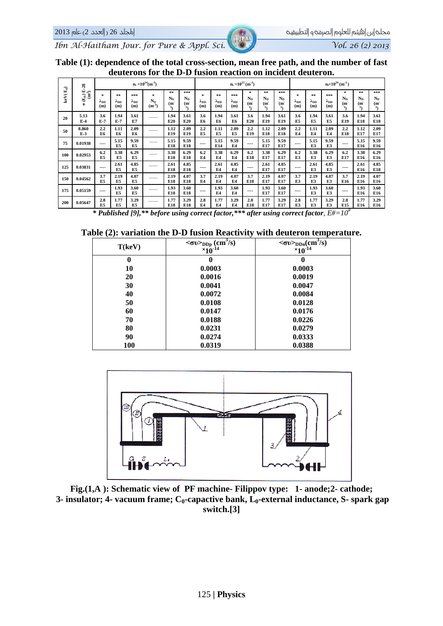Vol. 26 (2) 2013

Ibn Al-Haitham Jour. for Pure & Appl. Sci.

| Table (1): dependence of the total cross-section, mean free path, and the number of fast |
|------------------------------------------------------------------------------------------|
| deuterons for the D-D fusion reaction on incident deuteron.                              |

|                     | $E-28$                                | $n_i = 10^{24}$ (m <sup>-3</sup> )     |                                 |                   |                                    |                      |                                            | $n_i = 10^{25}$ (m <sup>-3</sup> )     |                             |                              |                                           |                         | $n_i = 10^{26}$ (m <sup>-3</sup> ) |                                    |                             |                              |                                       |                         |                                             |
|---------------------|---------------------------------------|----------------------------------------|---------------------------------|-------------------|------------------------------------|----------------------|--------------------------------------------|----------------------------------------|-----------------------------|------------------------------|-------------------------------------------|-------------------------|------------------------------------|------------------------------------|-----------------------------|------------------------------|---------------------------------------|-------------------------|---------------------------------------------|
| keV( $\mathbf{E}_d$ | $\mathbf{\hat{H}}^2$<br>$\sigma(E_D)$ | $\mathcal{R}$<br>$\lambda_{DD}$<br>(m) | **<br>$\lambda_{\rm DD}$<br>(m) | ***<br>App<br>(m) | $\approx$<br>$N_{D}$<br>$(m^{-3})$ | **<br>$N_{D}$<br>(m) | ***<br>$N_{\rm D}$<br>(m<br>3 <sub>1</sub> | $\mathcal{R}$<br>$\lambda_{DD}$<br>(m) | 家家<br>$\lambda_{DD}$<br>(m) | ***<br>$\lambda_{DD}$<br>(m) | *<br>$N_{\rm D}$<br>(m)<br>3 <sub>1</sub> | $* *$<br>$N_{D}$<br>(m) | ***<br>$N_{\rm D}$<br>(m           | $\approx$<br>$\lambda_{DD}$<br>(m) | **<br>$\lambda_{DD}$<br>(m) | ***<br>$\lambda_{DD}$<br>(m) | *<br>$N_{D}$<br>(m)<br>3 <sub>1</sub> | **<br>$N_{\rm n}$<br>(m | ***<br>$N_{\rm D}$<br>(m)<br>3 <sub>1</sub> |
| 20                  | 5.13<br>$E-4$                         | 3.6<br>$E-7$                           | 1.94<br>$E-7$                   | 3.61<br>E7        |                                    | 1.94<br>E20          | 3.61<br>E20                                | 3.6<br>E6                              | 1.94<br>E6                  | 3.61<br>E6                   | 3.6<br>E20                                | 1.94<br>E19             | 3.61<br>E19                        | 3.6<br>E5                          | 1.94<br>E5                  | 3.61<br>E5                   | 3.6<br>E19                            | 1.94<br>E18             | 3.61<br>E18                                 |
| 50                  | 8.860<br>$E-3$                        | 2.2<br>E6                              | 1.11<br>E6                      | 2.09<br>E6        |                                    | 1.12<br>E19          | 2.09<br>E19                                | 2.2<br><b>E5</b>                       | 1.11<br>E <sub>5</sub>      | 2.09<br>E5                   | 2.2<br>E19                                | 1.12<br>E18             | 2.09<br>E18                        | 2.2<br>E <sub>4</sub>              | 1.11<br>E4                  | 2.09<br>E4                   | 2.2<br>E18                            | 1.12<br>E17             | 2.09<br>E17                                 |
| 75                  | 0.01938                               | ----                                   | 5.15<br>E5                      | 9.59<br>E5        |                                    | 5.15<br>E18          | 9.59<br>E18                                | ----                                   | 5.15<br>E14                 | 9.59<br>E4                   | $---$                                     | 5.15<br>E17             | 9.59<br>E17                        | ----                               | 5.15<br>E3                  | 9.59<br>E3                   | ----                                  | 5.15<br>E16             | 9.59<br>E16                                 |
| 100                 | 0.02953                               | 6.2<br>E5                              | 3.38<br><b>E5</b>               | 6.29<br>E5        |                                    | 3.38<br>E18          | 6.29<br>E18                                | 6.2<br>E4                              | 3.38<br>E4                  | 6.29<br>E4                   | 6.2<br>E18                                | 3.38<br>E17             | 6.29<br>E17                        | 6.2<br>E3                          | 3.38<br>E3                  | 6.29<br>E3                   | 6.2<br>E17                            | 3.38<br>E16             | 6.29<br>E16                                 |
| 125                 | 0.03831                               | $---$                                  | 2.61<br>E5                      | 4.85<br>E5        |                                    | 2.61<br>E18          | 4.85<br>E18                                | ----                                   | 2.61<br>E4                  | 4.85<br>E <sub>4</sub>       | ----                                      | 2.61<br>E17             | 4.85<br>E17                        | ----                               | 2.61<br>E3                  | 4.85<br>E3                   | ----                                  | 2.61<br>E16             | 4.85<br>E18                                 |
| 150                 | 0.04562                               | 3.7<br>E5                              | 2.19<br>E5                      | 4.07<br>E5        |                                    | 2.19<br>E18          | 4.07<br>E18                                | 3.7<br>E4                              | 2.19<br>F <sub>4</sub>      | 4.07<br>E <sub>4</sub>       | 3.7<br>E18                                | 2.19<br>E17             | 4.07<br>E17                        | 3.7<br>E3                          | 2.19<br>E3                  | 4.07<br>E3                   | 3.7<br>E16                            | 2.19<br>E16             | 4.07<br>E16                                 |
| 175                 | 0.05159                               | ----                                   | 1.93<br>E5                      | 3.60<br>E5        |                                    | 1.93<br>E18          | 3.60<br>E18                                | ----                                   | 1.93<br>E4                  | 3.60<br>E4                   | ----                                      | 1.93<br>E17             | 3.60<br>E17                        | ----                               | 1.93<br>E3                  | 3.60<br>E3                   | ----                                  | 1.93<br>E16             | 3.60<br>E16                                 |
| 200                 | 0.05647                               | 2.8<br>E5                              | 1.77<br>E5                      | 3.29<br>E5        |                                    | 1.77<br>E18          | 3.29<br>E18                                | 2.8<br>E4                              | 1.77<br>F <sub>4</sub>      | 3.29<br>F <sub>4</sub>       | 2.8<br>E18                                | 1.77<br>E17             | 3.29<br>E17                        | 2.8<br>E3                          | 1.77<br>E3                  | 3.29<br>E3                   | 2.8<br>E15                            | 1.77<br>E16             | 3.29<br>E16                                 |

\* Published [9],\*\* before using correct factor,\*\*\* after using correct factor,  $E\# = 10^4$ 

#### Table (2): variation the D-D fusion Reactivity with deuteron temperature.

| $\sim$ $\sim$<br>T(keV) | ◡<br>$<$ $\sigma v$ > $_{DDp}$ (cm <sup>3</sup> /s)<br>$\times 10^{-14}$ | $<\!\!\sigma v\!\!>_{\!\!\text{DDn}}\!\!(\text{cm}^3\!/\text{s})$<br>$\times 10^{-14}$ |  |  |  |  |  |
|-------------------------|--------------------------------------------------------------------------|----------------------------------------------------------------------------------------|--|--|--|--|--|
| 0                       | U                                                                        |                                                                                        |  |  |  |  |  |
| 10                      | 0.0003                                                                   | 0.0003                                                                                 |  |  |  |  |  |
| 20                      | 0.0016                                                                   | 0.0019                                                                                 |  |  |  |  |  |
| 30                      | 0.0041                                                                   | 0.0047                                                                                 |  |  |  |  |  |
| 40                      | 0.0072                                                                   | 0.0084                                                                                 |  |  |  |  |  |
| 50                      | 0.0108                                                                   | 0.0128                                                                                 |  |  |  |  |  |
| 60                      | 0.0147                                                                   | 0.0176                                                                                 |  |  |  |  |  |
| 70                      | 0.0188                                                                   | 0.0226                                                                                 |  |  |  |  |  |
| 80                      | 0.0231                                                                   | 0.0279                                                                                 |  |  |  |  |  |
| 90                      | 0.0274                                                                   | 0.0333                                                                                 |  |  |  |  |  |
| 100                     | 0.0319                                                                   | 0.0388                                                                                 |  |  |  |  |  |



Fig.(1,A): Schematic view of PF machine- Filippov type: 1- anode; 2- cathode; 3- insulator; 4- vacuum frame;  $C_0$ -capactive bank,  $L_0$ -external inductance, S- spark gap switch.[3]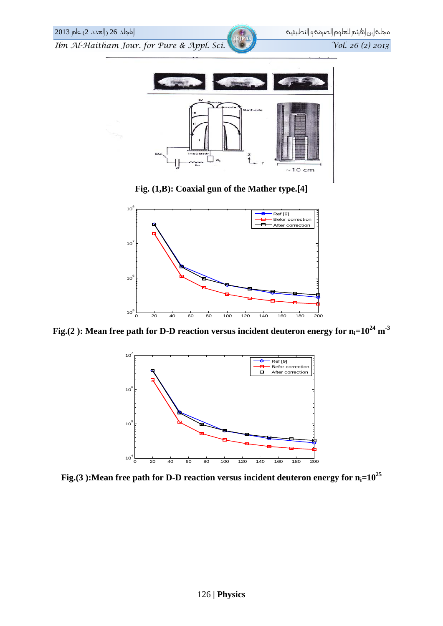

**Fig. (1,B): Coaxial gun of the Mather type.[4]**



Fig.(2): Mean free path for D-D reaction versus incident deuteron energy for  $n_i=10^{24}$  m<sup>-3</sup>



Fig.(3): Mean free path for D-D reaction versus incident deuteron energy for  $n_i=10^{25}$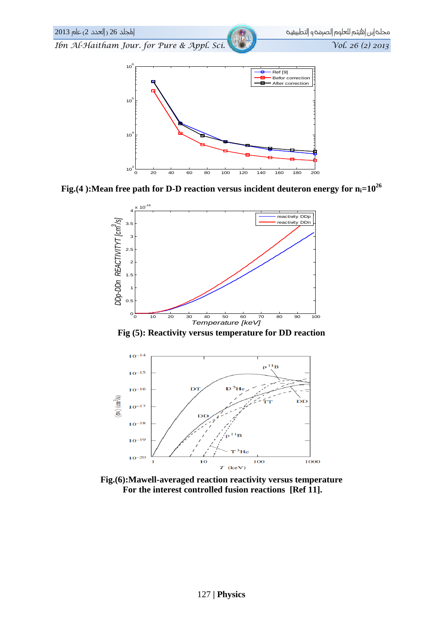

Fig.(4): Mean free path for D-D reaction versus incident deuteron energy for  $n_i=10^{26}$ 



Fig (5): Reactivity versus temperature for DD reaction



Fig.(6): Mawell-averaged reaction reactivity versus temperature For the interest controlled fusion reactions [Ref 11].